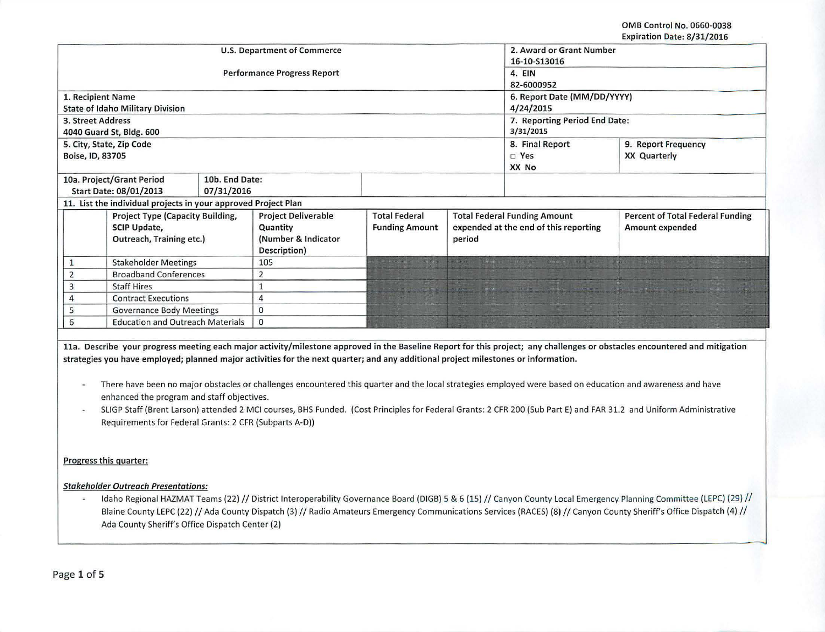OMS Control No. 0660-0038

|                             |                                                                |                                    |                                                                                                                                    |                       |                                       |                             | Expiration Date: 8/31/2016                                                                                                                                                 |  |
|-----------------------------|----------------------------------------------------------------|------------------------------------|------------------------------------------------------------------------------------------------------------------------------------|-----------------------|---------------------------------------|-----------------------------|----------------------------------------------------------------------------------------------------------------------------------------------------------------------------|--|
| U.S. Department of Commerce |                                                                |                                    |                                                                                                                                    |                       |                                       | 2. Award or Grant Number    |                                                                                                                                                                            |  |
|                             |                                                                |                                    | 16-10-S13016                                                                                                                       |                       |                                       |                             |                                                                                                                                                                            |  |
|                             |                                                                | <b>Performance Progress Report</b> | 4. EIN                                                                                                                             |                       |                                       |                             |                                                                                                                                                                            |  |
|                             |                                                                |                                    | 82-6000952                                                                                                                         |                       |                                       |                             |                                                                                                                                                                            |  |
| 1. Recipient Name           |                                                                |                                    |                                                                                                                                    |                       |                                       | 6. Report Date (MM/DD/YYYY) |                                                                                                                                                                            |  |
|                             | <b>State of Idaho Military Division</b>                        |                                    | 4/24/2015                                                                                                                          |                       |                                       |                             |                                                                                                                                                                            |  |
| 3. Street Address           |                                                                |                                    | 7. Reporting Period End Date:                                                                                                      |                       |                                       |                             |                                                                                                                                                                            |  |
|                             | 4040 Guard St, Bldg. 600                                       |                                    |                                                                                                                                    |                       |                                       | 3/31/2015                   |                                                                                                                                                                            |  |
|                             | 5. City, State, Zip Code                                       |                                    |                                                                                                                                    |                       |                                       | 8. Final Report             | 9. Report Frequency                                                                                                                                                        |  |
| Boise, ID, 83705            |                                                                |                                    |                                                                                                                                    |                       |                                       | $\square$ Yes               | <b>XX Quarterly</b>                                                                                                                                                        |  |
|                             |                                                                |                                    |                                                                                                                                    |                       |                                       | XX No                       |                                                                                                                                                                            |  |
|                             | 10a. Project/Grant Period                                      | 10b. End Date:                     |                                                                                                                                    |                       |                                       |                             |                                                                                                                                                                            |  |
|                             | Start Date: 08/01/2013                                         | 07/31/2016                         |                                                                                                                                    |                       |                                       |                             |                                                                                                                                                                            |  |
|                             | 11. List the individual projects in your approved Project Plan |                                    |                                                                                                                                    |                       |                                       |                             |                                                                                                                                                                            |  |
|                             | Project Type (Capacity Building,                               |                                    | <b>Project Deliverable</b>                                                                                                         | <b>Total Federal</b>  | <b>Total Federal Funding Amount</b>   |                             | <b>Percent of Total Federal Funding</b>                                                                                                                                    |  |
|                             | SCIP Update,                                                   |                                    | Quantity                                                                                                                           | <b>Funding Amount</b> | expended at the end of this reporting |                             | Amount expended                                                                                                                                                            |  |
|                             | Outreach, Training etc.)                                       |                                    | (Number & Indicator                                                                                                                |                       | period                                |                             |                                                                                                                                                                            |  |
|                             |                                                                |                                    | Description)                                                                                                                       |                       |                                       |                             |                                                                                                                                                                            |  |
| 1                           | <b>Stakeholder Meetings</b>                                    |                                    | 105                                                                                                                                |                       |                                       |                             |                                                                                                                                                                            |  |
| $\overline{2}$              | <b>Broadband Conferences</b>                                   |                                    | $\overline{2}$                                                                                                                     |                       |                                       |                             |                                                                                                                                                                            |  |
| $\overline{\mathbf{3}}$     | <b>Staff Hires</b>                                             |                                    | $\mathbf{1}$                                                                                                                       |                       |                                       |                             |                                                                                                                                                                            |  |
| $\overline{4}$              | <b>Contract Executions</b>                                     |                                    | $\overline{a}$                                                                                                                     |                       |                                       |                             |                                                                                                                                                                            |  |
| 5                           | <b>Governance Body Meetings</b>                                |                                    | $\mathbf 0$                                                                                                                        |                       |                                       |                             |                                                                                                                                                                            |  |
| 6                           | <b>Education and Outreach Materials</b>                        |                                    | $\Omega$                                                                                                                           |                       |                                       |                             |                                                                                                                                                                            |  |
|                             |                                                                |                                    |                                                                                                                                    |                       |                                       |                             |                                                                                                                                                                            |  |
|                             |                                                                |                                    |                                                                                                                                    |                       |                                       |                             | 11a. Describe your progress meeting each major activity/milestone approved in the Baseline Report for this project; any challenges or obstacles encountered and mitigation |  |
|                             |                                                                |                                    | strategies you have employed; planned major activities for the next quarter; and any additional project milestones or information. |                       |                                       |                             |                                                                                                                                                                            |  |
|                             |                                                                |                                    |                                                                                                                                    |                       |                                       |                             |                                                                                                                                                                            |  |
|                             |                                                                |                                    |                                                                                                                                    |                       |                                       |                             | There have been no major obstacles or challenges encountered this quarter and the local strategies employed were based on education and awareness and have                 |  |
|                             | enhanced the program and staff objectives.                     |                                    |                                                                                                                                    |                       |                                       |                             |                                                                                                                                                                            |  |
|                             |                                                                |                                    |                                                                                                                                    |                       |                                       |                             | SLIGP Staff (Brent Larson) attended 2 MCI courses, BHS Funded. (Cost Principles for Federal Grants: 2 CFR 200 (Sub Part E) and FAR 31.2 and Uniform Administrative         |  |
|                             |                                                                |                                    |                                                                                                                                    |                       |                                       |                             |                                                                                                                                                                            |  |
|                             | Requirements for Federal Grants: 2 CFR (Subparts A-D))         |                                    |                                                                                                                                    |                       |                                       |                             |                                                                                                                                                                            |  |
|                             |                                                                |                                    |                                                                                                                                    |                       |                                       |                             |                                                                                                                                                                            |  |

Progress this quarter:

Stakeholder Outreach Presentations:

Idaho Regional HAZMAT Teams (22) // District Interoperability Governance Board (DIGB) 5 & 6 (15) // Canyon County Local Emergency Planning Committee (LEPC) (29) //  $\blacksquare$ Blaine County LEPC (22) // Ada County Dispatch (3) // Radio Amateurs Emergency Communications Services (RACES) (8) // Canyon County Sheriff's Office Dispatch (4) // Ada County Sheriff's Office Dispatch Center (2)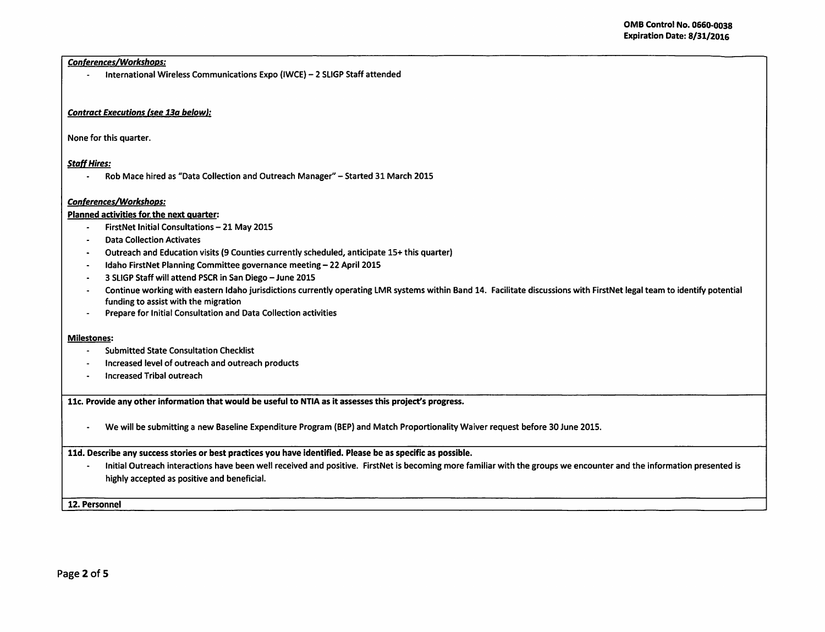## Conferences/Workshops:

- International Wireless Communications Expo {IWCE)- 2 SLIGP Staff attended

## Contract Executions (see 13a below}:

None for this quarter.

## Staff Hires:

- Rob Mace hired as "Data Collection and Outreach Manager"- Started 31 March 2015

#### Conferences/Workshops:

## Planned activities for. the next quarter:

- FirstNet Initial Consultations- 21 May 2015
- Data Collection Activates  $\sim$
- Outreach and Education visits (9 Counties currently scheduled, anticipate 15+ this quarter)  $\sim$
- Idaho FirstNet Planning Committee governance meeting- 22 April 2015  $\mathbf{r}$
- 3 SLIGP Staff will attend PSCR in San Diego- June 2015  $\sim$
- Continue working with eastern Idaho jurisdictions currently operating LMR systems within Band 14. Facilitate discussions with FirstNet legal team to identify potential  $\sim$ funding to assist with the migration
- Prepare for Initial Consultation and Data Collection activities  $\overline{a}$

#### Milestones:

- Submitted State Consultation Checklist
- Increased level of outreach and outreach products
- Increased Tribal outreach

llc. Provide any other information that would be useful to NTIA as it assesses this project's progress.

- We will be submitting a new Baseline Expenditure Program (BEP) and Match Proportionality Waiver request before 30 June 2015.

## lld. Describe any success stories or best practices you have identified. Please be as specific as possible.

- Initial Outreach interactions have been well received and positive. FirstNet is becoming more familiar with the groups we encounter and the information presented is highly accepted as positive and beneficial.

12. Personnel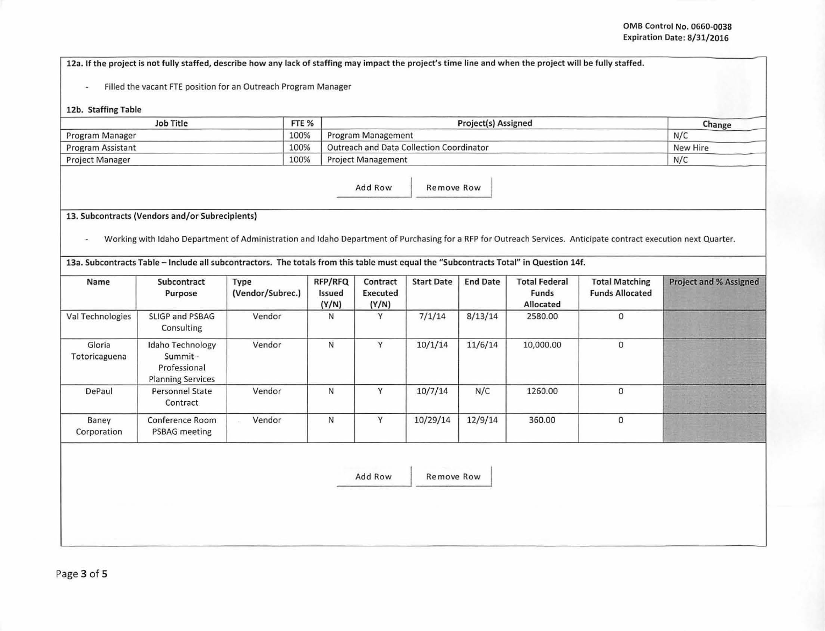12a. If the project is not fully staffed, describe how any lack of staffing may impact the project's time line and when the project will be fully staffed.

- Filled the vacant FTE position for an Outreach Program Manager

#### 12b. Staffing Table

| Job Title              | FTE % | Project(s) Assigned                      | Change   |
|------------------------|-------|------------------------------------------|----------|
| Program Manager        | 100%  | Program Management                       | N/C      |
| Program Assistant      | 100%  | Outreach and Data Collection Coordinator | New Hire |
| <b>Project Manager</b> | 100%  | <b>Project Management</b>                | N/C      |

Add Row Remove Row

# 13. Subcontracts (Vendors and/or Subrecipients)

- Working with Idaho Department of Administration and Idaho Department of Purchasing for a RFP for Outreach Services. Anticipate contract execution next Quarter.

13a. Subcontracts Table -Include all subcontractors. The totals from this table must equal the "Subcontracts Total" in Question 14f.

| Name                    | Subcontract<br>Purpose                                                   | Type<br>(Vendor/Subrec.) | <b>RFP/RFQ</b><br>Issued<br>(Y/N) | Contract<br>Executed<br>(Y/N) | <b>Start Date</b> | <b>End Date</b> | <b>Total Federal</b><br>Funds<br>Allocated | <b>Total Matching</b><br><b>Funds Allocated</b> | <b>Project and % Assigned</b> |
|-------------------------|--------------------------------------------------------------------------|--------------------------|-----------------------------------|-------------------------------|-------------------|-----------------|--------------------------------------------|-------------------------------------------------|-------------------------------|
| Val Technologies        | SLIGP and PSBAG<br>Consulting                                            | Vendor                   | N                                 | Y                             | 7/1/14            | 8/13/14         | 2580.00                                    | 0                                               |                               |
| Gloria<br>Totoricaguena | Idaho Technology<br>Summit -<br>Professional<br><b>Planning Services</b> | Vendor                   | N                                 | $\vee$                        | 10/1/14           | 11/6/14         | 10,000.00                                  | $\mathbf 0$                                     |                               |
| DePaul                  | <b>Personnel State</b><br>Contract                                       | Vendor                   | N                                 | v                             | 10/7/14           | N/C             | 1260.00                                    | 0                                               |                               |
| Baney<br>Corporation    | Conference Room<br>PSBAG meeting                                         | Vendor                   | N                                 | $\vee$                        | 10/29/14          | 12/9/14         | 360.00                                     | $\Omega$                                        |                               |

Add Row Remove Row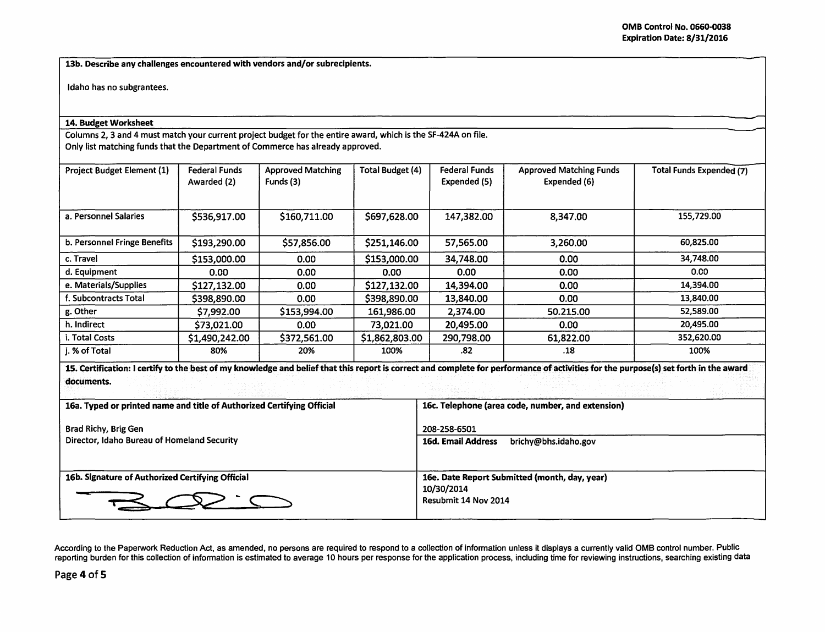-- -

13b. Describe any challenges encountered with vendors and/or subrecipients.

Idaho has no subgrantees.

## 14. Budget Worksheet

Columns 2, 3 and 4 must match your current project budget for the entire award, which is the SF-424A on file. Only list matching funds that the Department of Commerce has already approved.

| <b>Project Budget Element (1)</b> | Federal Funds<br>Awarded (2) | <b>Approved Matching</b><br>Funds (3) | Total Budget (4) | <b>Federal Funds</b><br>Expended (5) | <b>Approved Matching Funds</b><br>Expended (6) | Total Funds Expended (7) |
|-----------------------------------|------------------------------|---------------------------------------|------------------|--------------------------------------|------------------------------------------------|--------------------------|
| a. Personnel Salaries             | \$536,917.00                 | \$160,711.00                          | \$697,628.00     | 147,382.00                           | 8,347.00                                       | 155,729.00               |
| b. Personnel Fringe Benefits      | \$193,290.00                 | \$57,856.00                           | \$251,146.00     | 57,565.00                            | 3,260.00                                       | 60,825.00                |
| c. Travel                         | \$153,000.00                 | 0.00                                  | \$153,000.00     | 34,748.00                            | 0.00                                           | 34,748.00                |
| d. Equipment                      | 0.00                         | 0.00 <sub>1</sub>                     | 0.00             | 0.00                                 | 0.00                                           | 0.00                     |
| e. Materials/Supplies             | \$127,132.00                 | 0.00                                  | \$127,132.00     | 14,394.00                            | 0.00                                           | 14,394.00                |
| f. Subcontracts Total             | \$398,890.00                 | 0.00                                  | \$398,890.00     | 13,840.00                            | 0.00                                           | 13,840.00                |
| g. Other                          | \$7,992.00                   | \$153,994.00                          | 161,986.00       | 2,374.00                             | 50.215.00                                      | 52,589.00                |
| h. Indirect                       | \$73,021.00                  | 0.00                                  | 73,021.00        | 20,495.00                            | 0.00                                           | 20,495.00                |
| i. Total Costs                    | \$1,490,242.00               | \$372,561.00                          | \$1,862,803.00   | 290,798.00                           | 61,822.00                                      | 352,620.00               |
| i. % of Total                     | 80%                          | 20%                                   | 100%             | .82                                  | .18                                            | 100%                     |

| 16a. Typed or printed name and title of Authorized Certifying Official | 16c. Telephone (area code, number, and extension) |
|------------------------------------------------------------------------|---------------------------------------------------|
| Brad Richy, Brig Gen                                                   | 208-258-6501                                      |
| Director, Idaho Bureau of Homeland Security                            | <b>16d. Email Address</b><br>brichy@bhs.idaho.gov |
|                                                                        |                                                   |
| 16b. Signature of Authorized Certifying Official                       | 16e. Date Report Submitted (month, day, year)     |
|                                                                        | 10/30/2014<br>Resubmit 14 Nov 2014                |

According to the Paperwork Reduction Act, as amended, no persons are required to respond to a collection of information unless it displays a currently valid OMB control number. Public reporting burden for this collection of information is estimated to average 10 hours per response for the application process, including time for reviewing instructions, searching existing data